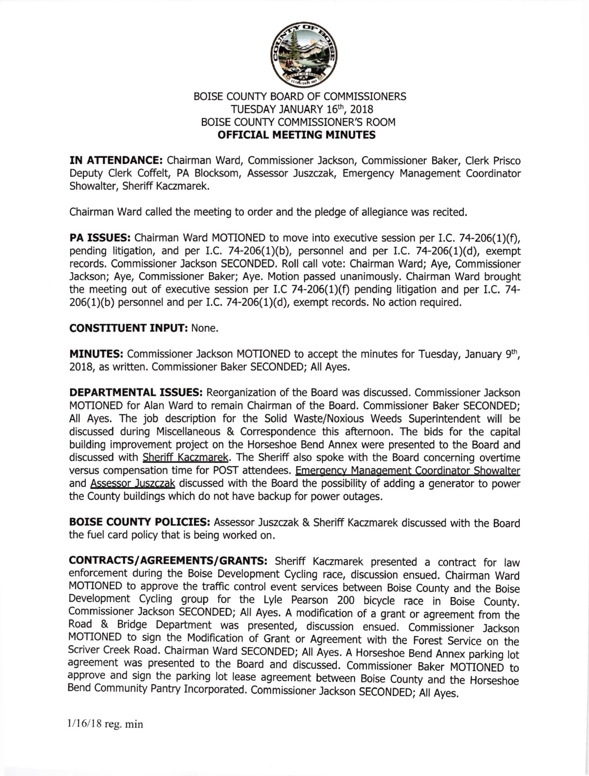

## BOISE COUNTY BOARD OF COMMISSIONERS TUESDAY JANUARY 16th, 2018 BOISE COUNTY COMMISSIONER'S ROOM OFFICIAL MEETING MINUTES

IN ATTENDANCE: Chairman Ward, Commissioner Jackson, Commissioner Baker, Clerk Prisco Deputy Clerk Coffelt, PA Blocksom, Assessor Juszczak, Emergency Management Coordinator Showalter, Sheriff Kaczmarek.

Chairman Ward called the meeting to order and the pledge of allegiance was recited.

PA ISSUES: Chairman Ward MOTIONED to move into executive session per I.C. 74-206(1)(f), pending litigation, and per I.C. 74-206(1)(b), personnel and per I.C. 74-206(1)(d), exempt records. Commissioner Jackson SECONDED. Roll call vote: Chairman Ward; Aye, Commissioner Jackson; Aye, Commissioner Baker; Aye. Motion passed unanimously. Chairman Ward brought the meeting out of executive session per I.C 74-206(1)(f) pending litigation and per I.C. 74-  $206(1)(b)$  personnel and per I.C. 74-206(1)(d), exempt records. No action required.

## CONSTITUENT INPUT: None.

MINUTES: Commissioner Jackson MOTIONED to accept the minutes for Tuesday, January 9th, 2018, as written. Commissioner Baker SECONDED; All Ayes.

DEPARTMENTAL ISSUES: Reorganization of the Board was discussed. Commissioner Jackson MOTIONED for Alan Ward to remain Chairman of the Board. Commissioner Baker SECONDED; All Ayes. The job description for the Solid Waste/Noxious Weeds Superintendent will be discussed during Miscellaneous & Correspondence this afternoon. The bids for the capital building improvement project on the Horseshoe Bend Annex were presented to the Board and discussed with Sheriff Kaczmarek. The Sheriff also spoke with the Board concerning overtime versus compensation time for POST attendees. Emergency Management Coordinator Showalter and Assessor Juszczak discussed with the Board the possibility of adding a generator to power the County buildings which do not have backup for power outages.

**BOISE COUNTY POLICIES:** Assessor Juszczak & Sheriff Kaczmarek discussed with the Board the fuel card policy that is being worked on.

CONTRACTS/AGREEMENTS/GRANTS: Sheriff Kaczmarek presented a contract for law enforcement during the Boise Development cycling race, discussion ensued. chairman ward MOTIONED to approve the traffic control event services between Boise County and the Boise Development Cycling group for the Lyle Pearson 200 bicycle race in Boise County. commissioner lackson SECoNDED; All Ayes. A modification of a grant or agreement from the Road & Bridge Department was presented, discussion ensued. Commissioner Jackson<br>MOTIONED to sign the Modification of Grant or Agreement with the Forest Service on the Scriver Creek Road. Chairman Ward SECONDED; All Ayes. A Horseshoe Bend Annex parking lot agreement was presented to the Board and discussed. Commissioner Baker MOTIONED to<br>approve and sign the parking lot lease agreement between Boise County and the Horseshoe Bend Community Pantry Incorporated. Commissioner Jackson SECONDED; All Ayes.